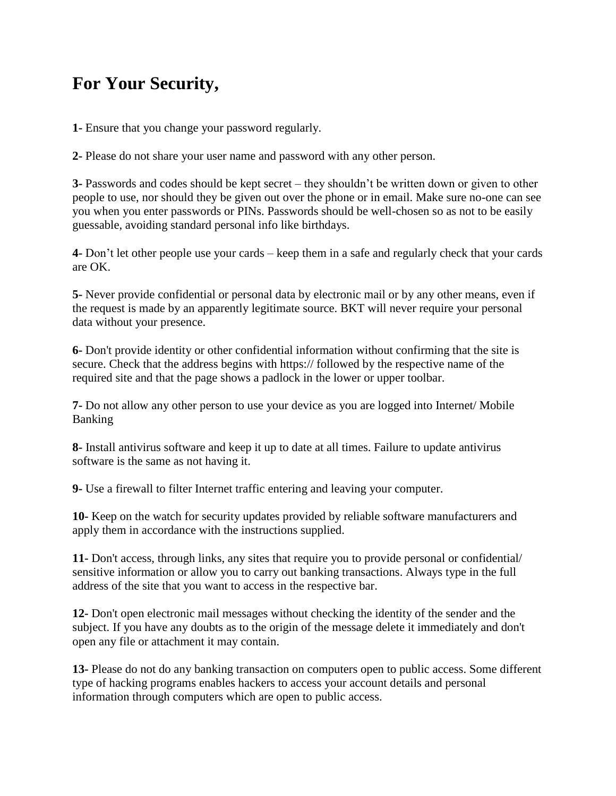## **For Your Security,**

**1-** Ensure that you change your password regularly.

**2-** Please do not share your user name and password with any other person.

**3-** Passwords and codes should be kept secret – they shouldn't be written down or given to other people to use, nor should they be given out over the phone or in email. Make sure no-one can see you when you enter passwords or PINs. Passwords should be well-chosen so as not to be easily guessable, avoiding standard personal info like birthdays.

**4-** Don't let other people use your cards – keep them in a safe and regularly check that your cards are OK.

**5-** Never provide confidential or personal data by electronic mail or by any other means, even if the request is made by an apparently legitimate source. BKT will never require your personal data without your presence.

**6-** Don't provide identity or other confidential information without confirming that the site is secure. Check that the address begins with https:// followed by the respective name of the required site and that the page shows a padlock in the lower or upper toolbar.

**7-** Do not allow any other person to use your device as you are logged into Internet/ Mobile Banking

**8-** Install antivirus software and keep it up to date at all times. Failure to update antivirus software is the same as not having it.

**9-** Use a firewall to filter Internet traffic entering and leaving your computer.

**10-** Keep on the watch for security updates provided by reliable software manufacturers and apply them in accordance with the instructions supplied.

**11-** Don't access, through links, any sites that require you to provide personal or confidential/ sensitive information or allow you to carry out banking transactions. Always type in the full address of the site that you want to access in the respective bar.

**12-** Don't open electronic mail messages without checking the identity of the sender and the subject. If you have any doubts as to the origin of the message delete it immediately and don't open any file or attachment it may contain.

**13-** Please do not do any banking transaction on computers open to public access. Some different type of hacking programs enables hackers to access your account details and personal information through computers which are open to public access.